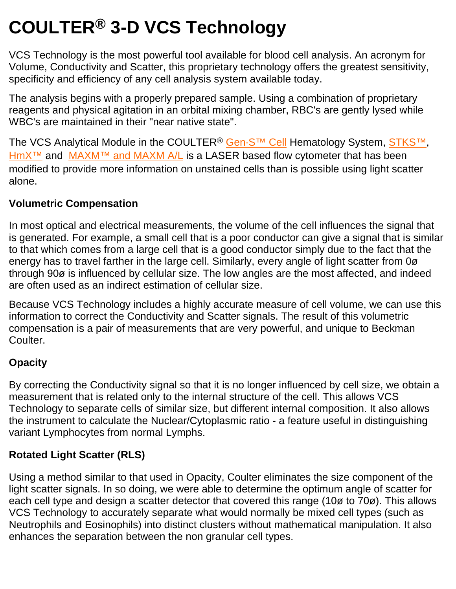# **COULTER® 3-D VCS Technology**

VCS Technology is the most powerful tool available for blood cell analysis. An acronym for Volume, Conductivity and Scatter, this proprietary technology offers the greatest sensitivity, specificity and efficiency of any cell analysis system available today.

The analysis begins with a properly prepared sample. Using a combination of proprietary reagents and physical agitation in an orbital mixing chamber, RBC's are gently lysed while WBC's are maintained in their "near native state".

The VCS Analytical Module in the COULTER<sup>®</sup> Gen·S<sup>™</sup> Cell Hematology System, STKS<sup>™</sup>, HmX<sup>™</sup> and MAXM<sup>™</sup> and MAXM A/L is a LASER based flow cytometer that has been modified to provide more information on unstained cells than is possible using light scatter alone.

## **Volumetric Compensation**

In most optical and electrical measurements, the volume of the cell influences the signal that is generated. For example, a small cell that is a poor conductor can give a signal that is similar to that which comes from a large cell that is a good conductor simply due to the fact that the energy has to travel farther in the large cell. Similarly, every angle of light scatter from 0ø through 90ø is influenced by cellular size. The low angles are the most affected, and indeed are often used as an indirect estimation of cellular size.

Because VCS Technology includes a highly accurate measure of cell volume, we can use this information to correct the Conductivity and Scatter signals. The result of this volumetric compensation is a pair of measurements that are very powerful, and unique to Beckman Coulter.

## **Opacity**

By correcting the Conductivity signal so that it is no longer influenced by cell size, we obtain a measurement that is related only to the internal structure of the cell. This allows VCS Technology to separate cells of similar size, but different internal composition. It also allows the instrument to calculate the Nuclear/Cytoplasmic ratio - a feature useful in distinguishing variant Lymphocytes from normal Lymphs.

## **Rotated Light Scatter (RLS)**

Using a method similar to that used in Opacity, Coulter eliminates the size component of the light scatter signals. In so doing, we were able to determine the optimum angle of scatter for each cell type and design a scatter detector that covered this range (10ø to 70ø). This allows VCS Technology to accurately separate what would normally be mixed cell types (such as Neutrophils and Eosinophils) into distinct clusters without mathematical manipulation. It also enhances the separation between the non granular cell types.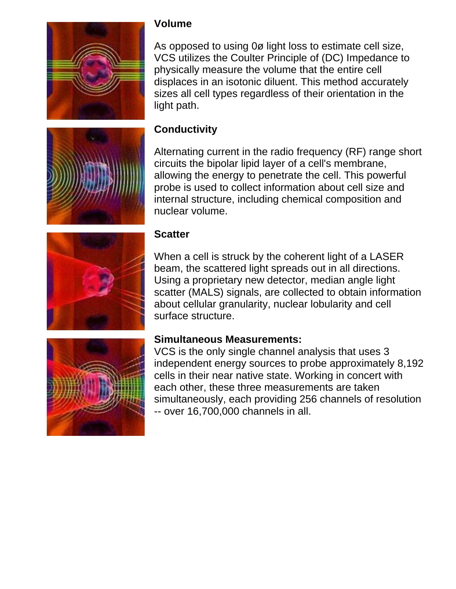



#### **Volume**

As opposed to using 0ø light loss to estimate cell size, VCS utilizes the Coulter Principle of (DC) Impedance to physically measure the volume that the entire cell displaces in an isotonic diluent. This method accurately sizes all cell types regardless of their orientation in the light path.

### **Conductivity**

Alternating current in the radio frequency (RF) range short circuits the bipolar lipid layer of a cell's membrane, allowing the energy to penetrate the cell. This powerful probe is used to collect information about cell size and internal structure, including chemical composition and nuclear volume.



#### **Scatter**

When a cell is struck by the coherent light of a LASER beam, the scattered light spreads out in all directions. Using a proprietary new detector, median angle light scatter (MALS) signals, are collected to obtain information about cellular granularity, nuclear lobularity and cell surface structure.



#### **Simultaneous Measurements:**

VCS is the only single channel analysis that uses 3 independent energy sources to probe approximately 8,192 cells in their near native state. Working in concert with each other, these three measurements are taken simultaneously, each providing 256 channels of resolution -- over 16,700,000 channels in all.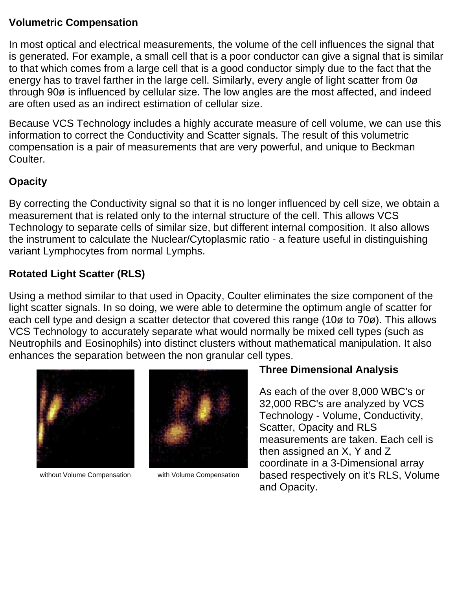#### **Volumetric Compensation**

In most optical and electrical measurements, the volume of the cell influences the signal that is generated. For example, a small cell that is a poor conductor can give a signal that is similar to that which comes from a large cell that is a good conductor simply due to the fact that the energy has to travel farther in the large cell. Similarly, every angle of light scatter from 0ø through 90ø is influenced by cellular size. The low angles are the most affected, and indeed are often used as an indirect estimation of cellular size.

Because VCS Technology includes a highly accurate measure of cell volume, we can use this information to correct the Conductivity and Scatter signals. The result of this volumetric compensation is a pair of measurements that are very powerful, and unique to Beckman Coulter.

# **Opacity**

By correcting the Conductivity signal so that it is no longer influenced by cell size, we obtain a measurement that is related only to the internal structure of the cell. This allows VCS Technology to separate cells of similar size, but different internal composition. It also allows the instrument to calculate the Nuclear/Cytoplasmic ratio - a feature useful in distinguishing variant Lymphocytes from normal Lymphs.

# **Rotated Light Scatter (RLS)**

Using a method similar to that used in Opacity, Coulter eliminates the size component of the light scatter signals. In so doing, we were able to determine the optimum angle of scatter for each cell type and design a scatter detector that covered this range (10ø to 70ø). This allows VCS Technology to accurately separate what would normally be mixed cell types (such as Neutrophils and Eosinophils) into distinct clusters without mathematical manipulation. It also enhances the separation between the non granular cell types.



without Volume Compensation with Volume Compensation



#### **Three Dimensional Analysis**

As each of the over 8,000 WBC's or 32,000 RBC's are analyzed by VCS Technology - Volume, Conductivity, Scatter, Opacity and RLS measurements are taken. Each cell is then assigned an X, Y and Z coordinate in a 3-Dimensional array based respectively on it's RLS, Volume and Opacity.